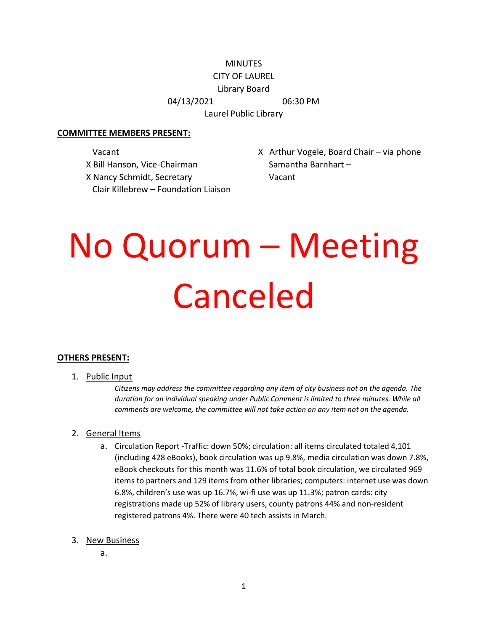## **MINUTES**

### CITY OF LAUREL

Library Board

04/13/2021 06:30 PM

Laurel Public Library

#### **COMMITTEE MEMBERS PRESENT:**

X Bill Hanson, Vice-Chairman Samantha Barnhart – X Nancy Schmidt, Secretary Vacant Clair Killebrew – Foundation Liaison

Vacant Vogele, Board Chair – via phone Vogele, and Chair – via phone

# No Quorum – Meeting Canceled

### **OTHERS PRESENT:**

1. Public Input

*Citizens may address the committee regarding any item of city business not on the agenda. The duration for an individual speaking under Public Comment is limited to three minutes. While all comments are welcome, the committee will not take action on any item not on the agenda.*

### 2. General Items

- a. Circulation Report -Traffic: down 50%; circulation: all items circulated totaled 4,101 (including 428 eBooks), book circulation was up 9.8%, media circulation was down 7.8%, eBook checkouts for this month was 11.6% of total book circulation, we circulated 969 items to partners and 129 items from other libraries; computers: internet use was down 6.8%, children's use was up 16.7%, wi-fi use was up 11.3%; patron cards: city registrations made up 52% of library users, county patrons 44% and non-resident registered patrons 4%. There were 40 tech assists in March.
- 3. New Business
	- a.